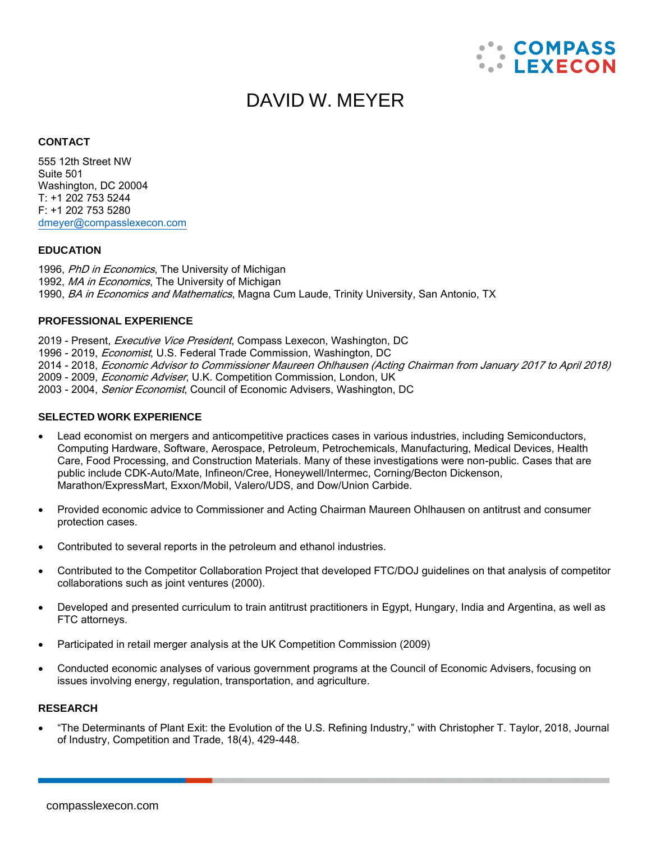

# DAVID W. MEYER

#### **CONTACT**

555 12th Street NW Suite 501 Washington, DC 20004 T: +1 202 753 5244 F: +1 202 753 5280 [dmeyer@compasslexecon.com](mailto:dmeyer@compasslexecon.com)

#### **EDUCATION**

1996, PhD in Economics, The University of Michigan 1992, MA in Economics, The University of Michigan 1990, *BA in Economics and Mathematics*, Magna Cum Laude, Trinity University, San Antonio, TX

## **PROFESSIONAL EXPERIENCE**

2019 - Present, Executive Vice President, Compass Lexecon, Washington, DC 1996 - 2019, *Economist*, U.S. Federal Trade Commission, Washington, DC 2014 - 2018, Economic Advisor to Commissioner Maureen Ohlhausen (Acting Chairman from January 2017 to April 2018) 2009 - 2009, *Economic Adviser*, U.K. Competition Commission, London, UK 2003 - 2004, Senior Economist, Council of Economic Advisers, Washington, DC

#### **SELECTED WORK EXPERIENCE**

- Lead economist on mergers and anticompetitive practices cases in various industries, including Semiconductors, Computing Hardware, Software, Aerospace, Petroleum, Petrochemicals, Manufacturing, Medical Devices, Health Care, Food Processing, and Construction Materials. Many of these investigations were non-public. Cases that are public include CDK-Auto/Mate, Infineon/Cree, Honeywell/Intermec, Corning/Becton Dickenson, Marathon/ExpressMart, Exxon/Mobil, Valero/UDS, and Dow/Union Carbide.
- Provided economic advice to Commissioner and Acting Chairman Maureen Ohlhausen on antitrust and consumer protection cases.
- Contributed to several reports in the petroleum and ethanol industries.
- Contributed to the Competitor Collaboration Project that developed FTC/DOJ guidelines on that analysis of competitor collaborations such as joint ventures (2000).
- Developed and presented curriculum to train antitrust practitioners in Egypt, Hungary, India and Argentina, as well as FTC attorneys.
- Participated in retail merger analysis at the UK Competition Commission (2009)
- Conducted economic analyses of various government programs at the Council of Economic Advisers, focusing on issues involving energy, regulation, transportation, and agriculture.

#### **RESEARCH**

• "The Determinants of Plant Exit: the Evolution of the U.S. Refining Industry," with Christopher T. Taylor, 2018, Journal of Industry, Competition and Trade, 18(4), 429-448.